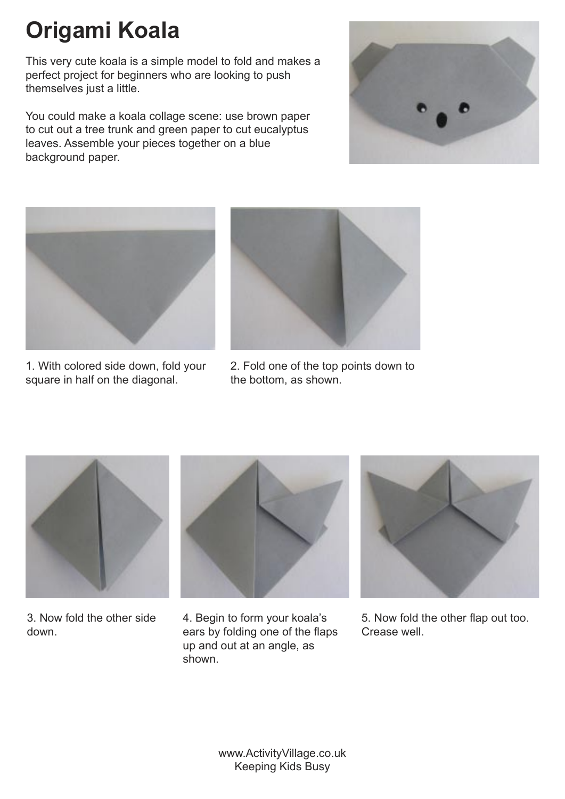## **Origami Koala**

This very cute koala is a simple model to fold and makes a perfect project for beginners who are looking to push themselves just a little.

You could make a koala collage scene: use brown paper to cut out a tree trunk and green paper to cut eucalyptus leaves. Assemble your pieces together on a blue background paper.





1. With colored side down, fold your square in half on the diagonal.



2. Fold one of the top points down to the bottom, as shown.



3. Now fold the other side down.



4. Begin to form your koala's ears by folding one of the flaps up and out at an angle, as shown.



5. Now fold the other flap out too. Crease well.